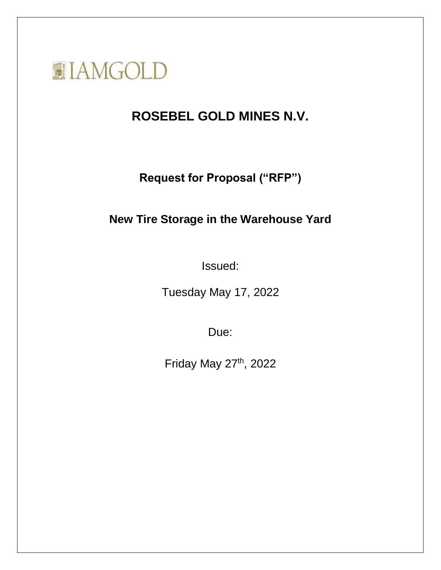

# **ROSEBEL GOLD MINES N.V.**

**Request for Proposal ("RFP")**

## **New Tire Storage in the Warehouse Yard**

Issued:

Tuesday May 17, 2022

Due:

Friday May 27th, 2022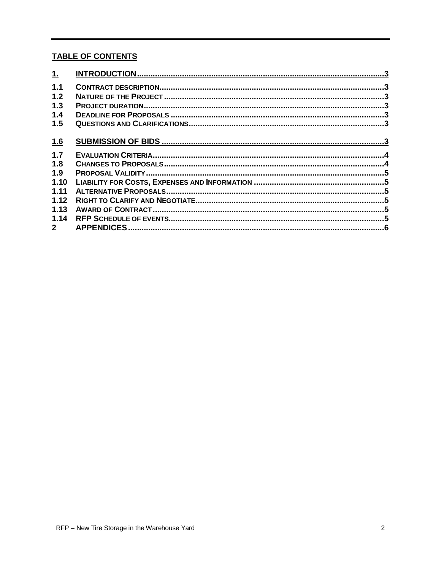## **TABLE OF CONTENTS**

| 1           |  |
|-------------|--|
| 1.1         |  |
| 1.2         |  |
| 1.3         |  |
| 1.4         |  |
| 1.5         |  |
| <u>1.6</u>  |  |
| 1.7         |  |
| 1.8         |  |
| 1.9         |  |
| 1.10        |  |
| 1.11        |  |
| 1.12        |  |
| 1.13        |  |
| 1.14        |  |
| $2^{\circ}$ |  |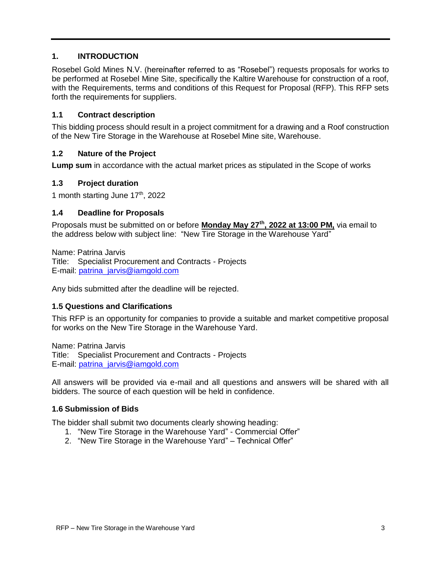## <span id="page-2-0"></span>**1. INTRODUCTION**

Rosebel Gold Mines N.V. (hereinafter referred to as "Rosebel") requests proposals for works to be performed at Rosebel Mine Site, specifically the Kaltire Warehouse for construction of a roof, with the Requirements, terms and conditions of this Request for Proposal (RFP). This RFP sets forth the requirements for suppliers.

## <span id="page-2-1"></span>**1.1 Contract description**

This bidding process should result in a project commitment for a drawing and a Roof construction of the New Tire Storage in the Warehouse at Rosebel Mine site, Warehouse.

## <span id="page-2-2"></span>**1.2 Nature of the Project**

**Lump sum** in accordance with the actual market prices as stipulated in the Scope of works

#### <span id="page-2-3"></span>**1.3 Project duration**

1 month starting June  $17<sup>th</sup>$ , 2022

#### <span id="page-2-4"></span>**1.4 Deadline for Proposals**

Proposals must be submitted on or before **Monday May 27th , 2022 at 13:00 PM,** via email to the address below with subject line: "New Tire Storage in the Warehouse Yard"

Name: Patrina Jarvis Title: Specialist Procurement and Contracts - Projects E-mail: [patrina\\_jarvis@iamgold.com](mailto:patrina_jarvis@iamgold.com)

Any bids submitted after the deadline will be rejected.

#### <span id="page-2-5"></span>**1.5 Questions and Clarifications**

This RFP is an opportunity for companies to provide a suitable and market competitive proposal for works on the New Tire Storage in the Warehouse Yard.

Name: Patrina Jarvis Title: Specialist Procurement and Contracts - Projects E-mail: [patrina\\_jarvis@iamgold.com](mailto:patrina_jarvis@iamgold.com)

All answers will be provided via e-mail and all questions and answers will be shared with all bidders. The source of each question will be held in confidence.

#### <span id="page-2-6"></span>**1.6 Submission of Bids**

The bidder shall submit two documents clearly showing heading:

- 1. "New Tire Storage in the Warehouse Yard" Commercial Offer"
- 2. "New Tire Storage in the Warehouse Yard" Technical Offer"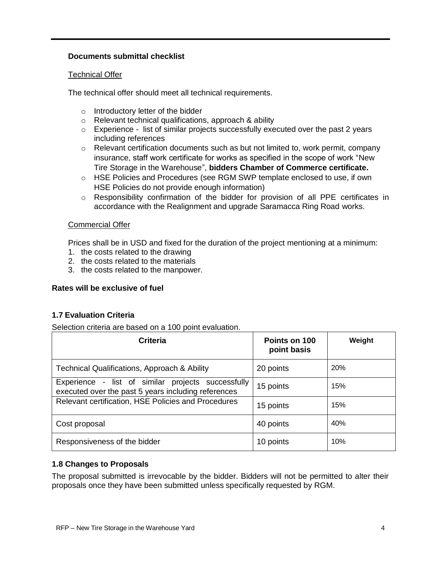## **Documents submittal checklist**

## Technical Offer

The technical offer should meet all technical requirements.

- o Introductory letter of the bidder
- o Relevant technical qualifications, approach & ability
- $\circ$  Experience list of similar projects successfully executed over the past 2 years including references
- $\circ$  Relevant certification documents such as but not limited to, work permit, company insurance, staff work certificate for works as specified in the scope of work "New Tire Storage in the Warehouse", **bidders Chamber of Commerce certificate.**
- o HSE Policies and Procedures (see RGM SWP template enclosed to use, if own HSE Policies do not provide enough information)
- o Responsibility confirmation of the bidder for provision of all PPE certificates in accordance with the Realignment and upgrade Saramacca Ring Road works.

#### Commercial Offer

Prices shall be in USD and fixed for the duration of the project mentioning at a minimum:

- 1. the costs related to the drawing
- 2. the costs related to the materials
- 3. the costs related to the manpower.

## **Rates will be exclusive of fuel**

## <span id="page-3-0"></span>**1.7 Evaluation Criteria**

Selection criteria are based on a 100 point evaluation.

| <b>Criteria</b>                                                                                           | Points on 100<br>point basis | Weight     |
|-----------------------------------------------------------------------------------------------------------|------------------------------|------------|
| Technical Qualifications, Approach & Ability                                                              | 20 points                    | <b>20%</b> |
| Experience - list of similar projects successfully<br>executed over the past 5 years including references | 15 points                    | 15%        |
| Relevant certification, HSE Policies and Procedures                                                       | 15 points                    | 15%        |
| Cost proposal                                                                                             | 40 points                    | 40%        |
| Responsiveness of the bidder                                                                              | 10 points                    | 10%        |

## <span id="page-3-1"></span>**1.8 Changes to Proposals**

The proposal submitted is irrevocable by the bidder. Bidders will not be permitted to alter their proposals once they have been submitted unless specifically requested by RGM.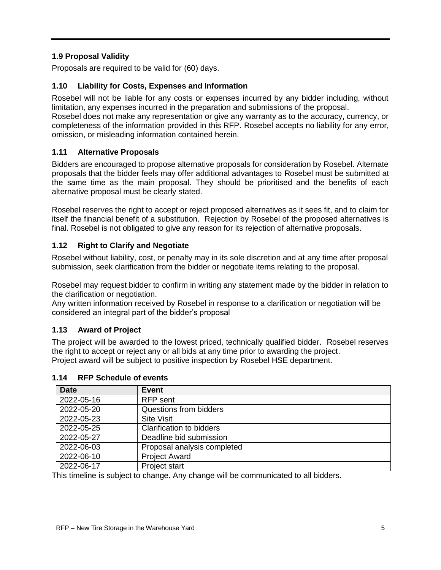## <span id="page-4-0"></span>**1.9 Proposal Validity**

Proposals are required to be valid for (60) days.

## <span id="page-4-1"></span>**1.10 Liability for Costs, Expenses and Information**

Rosebel will not be liable for any costs or expenses incurred by any bidder including, without limitation, any expenses incurred in the preparation and submissions of the proposal. Rosebel does not make any representation or give any warranty as to the accuracy, currency, or

completeness of the information provided in this RFP. Rosebel accepts no liability for any error, omission, or misleading information contained herein.

## <span id="page-4-2"></span>**1.11 Alternative Proposals**

Bidders are encouraged to propose alternative proposals for consideration by Rosebel. Alternate proposals that the bidder feels may offer additional advantages to Rosebel must be submitted at the same time as the main proposal. They should be prioritised and the benefits of each alternative proposal must be clearly stated.

Rosebel reserves the right to accept or reject proposed alternatives as it sees fit, and to claim for itself the financial benefit of a substitution. Rejection by Rosebel of the proposed alternatives is final. Rosebel is not obligated to give any reason for its rejection of alternative proposals.

## <span id="page-4-3"></span>**1.12 Right to Clarify and Negotiate**

Rosebel without liability, cost, or penalty may in its sole discretion and at any time after proposal submission, seek clarification from the bidder or negotiate items relating to the proposal.

Rosebel may request bidder to confirm in writing any statement made by the bidder in relation to the clarification or negotiation.

Any written information received by Rosebel in response to a clarification or negotiation will be considered an integral part of the bidder's proposal

## <span id="page-4-4"></span>**1.13 Award of Project**

The project will be awarded to the lowest priced, technically qualified bidder. Rosebel reserves the right to accept or reject any or all bids at any time prior to awarding the project. Project award will be subject to positive inspection by Rosebel HSE department.

| <b>Date</b> | Event                           |
|-------------|---------------------------------|
| 2022-05-16  | <b>RFP</b> sent                 |
| 2022-05-20  | Questions from bidders          |
| 2022-05-23  | <b>Site Visit</b>               |
| 2022-05-25  | <b>Clarification to bidders</b> |
| 2022-05-27  | Deadline bid submission         |
| 2022-06-03  | Proposal analysis completed     |
| 2022-06-10  | <b>Project Award</b>            |
| 2022-06-17  | Project start                   |

## <span id="page-4-5"></span>**1.14 RFP Schedule of events**

This timeline is subject to change. Any change will be communicated to all bidders.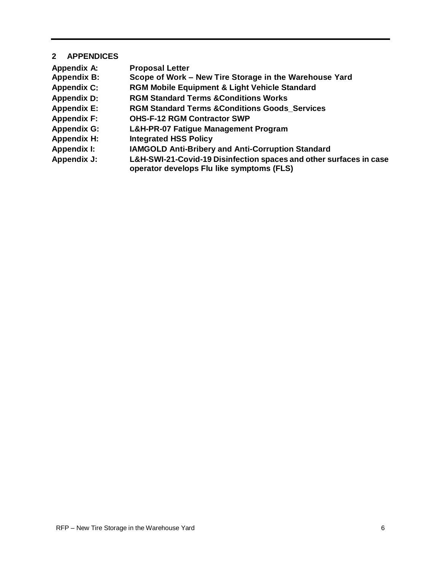## <span id="page-5-0"></span>**2 APPENDICES**

| <b>Appendix A:</b> | <b>Proposal Letter</b>                                                                                          |
|--------------------|-----------------------------------------------------------------------------------------------------------------|
| <b>Appendix B:</b> | Scope of Work – New Tire Storage in the Warehouse Yard                                                          |
| <b>Appendix C:</b> | <b>RGM Mobile Equipment &amp; Light Vehicle Standard</b>                                                        |
| <b>Appendix D:</b> | <b>RGM Standard Terms &amp; Conditions Works</b>                                                                |
| <b>Appendix E:</b> | <b>RGM Standard Terms &amp; Conditions Goods Services</b>                                                       |
| <b>Appendix F:</b> | <b>OHS-F-12 RGM Contractor SWP</b>                                                                              |
| <b>Appendix G:</b> | <b>L&amp;H-PR-07 Fatigue Management Program</b>                                                                 |
| <b>Appendix H:</b> | <b>Integrated HSS Policy</b>                                                                                    |
| <b>Appendix I:</b> | <b>IAMGOLD Anti-Bribery and Anti-Corruption Standard</b>                                                        |
| <b>Appendix J:</b> | L&H-SWI-21-Covid-19 Disinfection spaces and other surfaces in case<br>operator develops Flu like symptoms (FLS) |